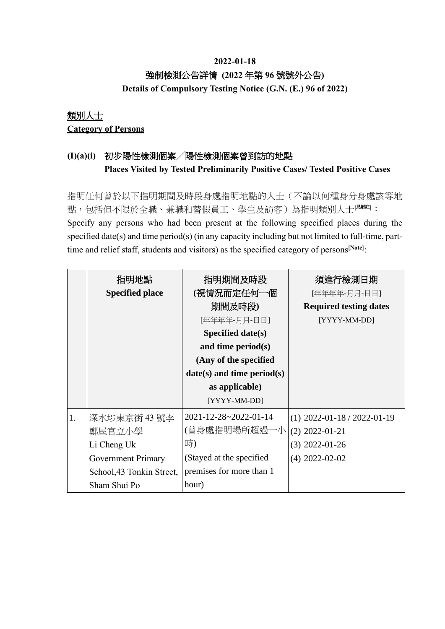### **2022-01-18** 強制檢測公告詳情 **(2022** 年第 **96** 號號外公告**) Details of Compulsory Testing Notice (G.N. (E.) 96 of 2022)**

## 類別人士 **Category of Persons**

## **(I)(a)(i)** 初步陽性檢測個案╱陽性檢測個案曾到訪的地點 **Places Visited by Tested Preliminarily Positive Cases/ Tested Positive Cases**

指明任何曾於以下指明期間及時段身處指明地點的人士(不論以何種身分身處該等地 點,包括但不限於全職、兼職和替假員工、學生及訪客)為指明類別人士**[**見附註**]**: Specify any persons who had been present at the following specified places during the specified date(s) and time period(s) (in any capacity including but not limited to full-time, parttime and relief staff, students and visitors) as the specified category of persons<sup>[Note]</sup>:

|    | 指明地點<br><b>Specified place</b> | 指明期間及時段<br>(視情況而定任何一個<br>期間及時段)<br>[年年年年-月月-日日]<br>Specified date( $s$ ) | 須進行檢測日期<br>[年年年年-月月-日日]<br><b>Required testing dates</b><br>[YYYY-MM-DD] |
|----|--------------------------------|--------------------------------------------------------------------------|--------------------------------------------------------------------------|
|    |                                | and time period $(s)$                                                    |                                                                          |
|    |                                | (Any of the specified                                                    |                                                                          |
|    |                                | $date(s)$ and time period(s)                                             |                                                                          |
|    |                                | as applicable)                                                           |                                                                          |
|    |                                | [YYYY-MM-DD]                                                             |                                                                          |
| 1. | 深水埗東京街 43 號李                   | 2021-12-28~2022-01-14                                                    | $(1)$ 2022-01-18 / 2022-01-19                                            |
|    | 鄭屋官立小學                         | (曾身處指明場所超過一小                                                             | $(2)$ 2022-01-21                                                         |
|    | Li Cheng Uk                    | 時)                                                                       | $(3)$ 2022-01-26                                                         |
|    | <b>Government Primary</b>      | (Stayed at the specified                                                 | $(4)$ 2022-02-02                                                         |
|    | School, 43 Tonkin Street,      | premises for more than 1                                                 |                                                                          |
|    | Sham Shui Po                   | hour)                                                                    |                                                                          |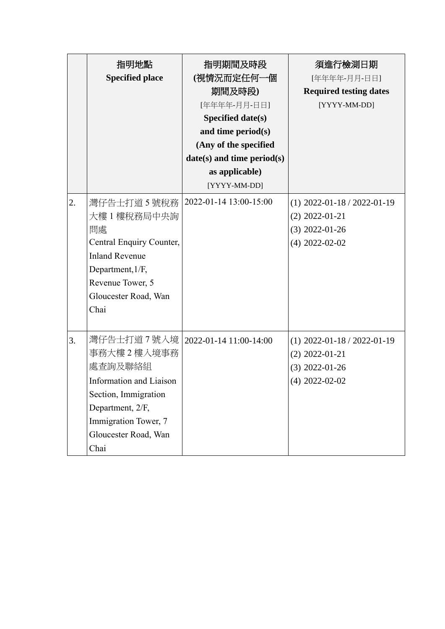|    | 指明地點<br><b>Specified place</b>                                                                                                                                                                | 指明期間及時段<br>(視情況而定任何一個<br>期間及時段)<br>[年年年年-月月-日日]<br><b>Specified date(s)</b><br>and time period(s)<br>(Any of the specified<br>$date(s)$ and time period $(s)$<br>as applicable)<br>[YYYY-MM-DD] | 須進行檢測日期<br>[年年年年-月月-日日]<br><b>Required testing dates</b><br>[YYYY-MM-DD]                  |
|----|-----------------------------------------------------------------------------------------------------------------------------------------------------------------------------------------------|-------------------------------------------------------------------------------------------------------------------------------------------------------------------------------------------------|-------------------------------------------------------------------------------------------|
| 2. | 灣仔告士打道 5 號稅務<br>大樓 1 樓稅務局中央詢<br>問處<br>Central Enquiry Counter,<br><b>Inland Revenue</b><br>Department, 1/F,<br>Revenue Tower, 5<br>Gloucester Road, Wan<br>Chai                               | 2022-01-14 13:00-15:00                                                                                                                                                                          | $(1)$ 2022-01-18 / 2022-01-19<br>$(2)$ 2022-01-21<br>$(3)$ 2022-01-26<br>$(4)$ 2022-02-02 |
| 3. | 灣仔告士打道 7 號入境   2022-01-14 11:00-14:00<br>事務大樓2樓入境事務<br>處查詢及聯絡組<br>Information and Liaison<br>Section, Immigration<br>Department, 2/F,<br>Immigration Tower, 7<br>Gloucester Road, Wan<br>Chai |                                                                                                                                                                                                 | $(1)$ 2022-01-18 / 2022-01-19<br>$(2)$ 2022-01-21<br>$(3)$ 2022-01-26<br>$(4)$ 2022-02-02 |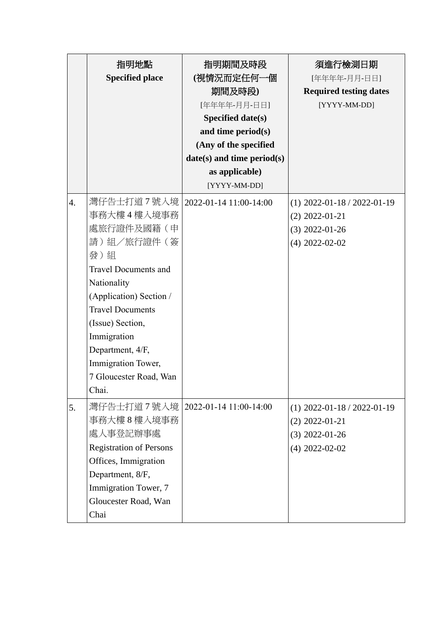|                  | 指明地點                                 | 指明期間及時段                    | 須進行檢測日期                       |
|------------------|--------------------------------------|----------------------------|-------------------------------|
|                  | <b>Specified place</b>               | (視情況而定任何一個                 | [年年年年-月月-日日]                  |
|                  |                                      | 期間及時段)                     | <b>Required testing dates</b> |
|                  |                                      | [年年年年-月月-日日]               | [YYYY-MM-DD]                  |
|                  |                                      | <b>Specified date(s)</b>   |                               |
|                  |                                      | and time period(s)         |                               |
|                  |                                      | (Any of the specified      |                               |
|                  |                                      | date(s) and time period(s) |                               |
|                  |                                      | as applicable)             |                               |
|                  |                                      | [YYYY-MM-DD]               |                               |
| $\overline{4}$ . | 灣仔告士打道7號入境                           | 2022-01-14 11:00-14:00     | $(1)$ 2022-01-18 / 2022-01-19 |
|                  | 事務大樓4樓入境事務                           |                            | $(2)$ 2022-01-21              |
|                  | 處旅行證件及國籍(申                           |                            | $(3)$ 2022-01-26              |
|                  | 請)組/旅行證件(簽                           |                            | $(4)$ 2022-02-02              |
|                  | 發)組                                  |                            |                               |
|                  | <b>Travel Documents and</b>          |                            |                               |
|                  | Nationality                          |                            |                               |
|                  | (Application) Section /              |                            |                               |
|                  | <b>Travel Documents</b>              |                            |                               |
|                  | (Issue) Section,                     |                            |                               |
|                  | Immigration                          |                            |                               |
|                  | Department, 4/F,                     |                            |                               |
|                  | Immigration Tower,                   |                            |                               |
|                  | 7 Gloucester Road, Wan               |                            |                               |
|                  | Chai.                                |                            |                               |
| 5.               | 灣仔告士打道 7 號入境  2022-01-14 11:00-14:00 |                            | $(1)$ 2022-01-18 / 2022-01-19 |
|                  | 事務大樓8樓入境事務                           |                            | $(2)$ 2022-01-21              |
|                  | 處人事登記辦事處                             |                            | $(3)$ 2022-01-26              |
|                  | <b>Registration of Persons</b>       |                            | $(4)$ 2022-02-02              |
|                  | Offices, Immigration                 |                            |                               |
|                  | Department, 8/F,                     |                            |                               |
|                  | Immigration Tower, 7                 |                            |                               |
|                  | Gloucester Road, Wan                 |                            |                               |
|                  | Chai                                 |                            |                               |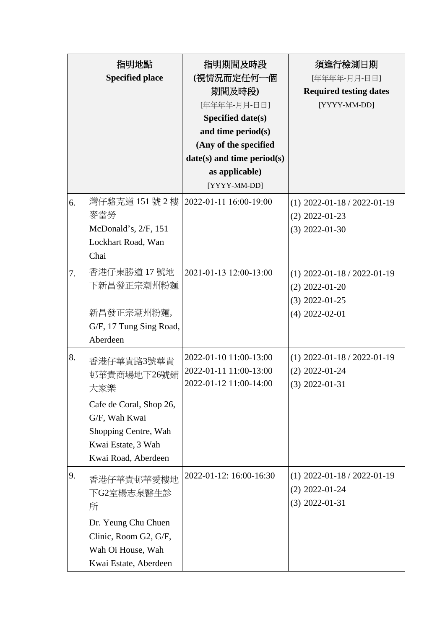|    | 指明地點                                                                                                              | 指明期間及時段                         | 須進行檢測日期                       |
|----|-------------------------------------------------------------------------------------------------------------------|---------------------------------|-------------------------------|
|    | <b>Specified place</b>                                                                                            | (視情況而定任何一個                      | [年年年年-月月-日日]                  |
|    |                                                                                                                   | 期間及時段)                          | <b>Required testing dates</b> |
|    |                                                                                                                   | [年年年年-月月-日日]                    | [YYYY-MM-DD]                  |
|    |                                                                                                                   | <b>Specified date(s)</b>        |                               |
|    |                                                                                                                   | and time period(s)              |                               |
|    |                                                                                                                   | (Any of the specified           |                               |
|    |                                                                                                                   | $date(s)$ and time period $(s)$ |                               |
|    |                                                                                                                   | as applicable)                  |                               |
|    |                                                                                                                   | [YYYY-MM-DD]                    |                               |
| 6. | 灣仔駱克道 151號 2樓                                                                                                     | 2022-01-11 16:00-19:00          | $(1)$ 2022-01-18 / 2022-01-19 |
|    | 麥當勞                                                                                                               |                                 | $(2)$ 2022-01-23              |
|    | McDonald's, 2/F, 151                                                                                              |                                 | $(3)$ 2022-01-30              |
|    | Lockhart Road, Wan                                                                                                |                                 |                               |
|    | Chai                                                                                                              |                                 |                               |
| 7. | 香港仔東勝道 17號地                                                                                                       | 2021-01-13 12:00-13:00          | $(1)$ 2022-01-18 / 2022-01-19 |
|    | 下新昌發正宗潮州粉麵                                                                                                        |                                 | $(2)$ 2022-01-20              |
|    |                                                                                                                   |                                 | $(3)$ 2022-01-25              |
|    | 新昌發正宗潮州粉麵,                                                                                                        |                                 | $(4)$ 2022-02-01              |
|    | G/F, 17 Tung Sing Road,                                                                                           |                                 |                               |
|    | Aberdeen                                                                                                          |                                 |                               |
| 8. |                                                                                                                   | 2022-01-10 11:00-13:00          | $(1)$ 2022-01-18 / 2022-01-19 |
|    | 香港仔華貴路3號華貴                                                                                                        | 2022-01-11 11:00-13:00          | $(2)$ 2022-01-24              |
|    | 邨華貴商場地下26號鋪                                                                                                       | 2022-01-12 11:00-14:00          | $(3)$ 2022-01-31              |
|    | 大家樂                                                                                                               |                                 |                               |
|    | Cafe de Coral, Shop 26,                                                                                           |                                 |                               |
|    | G/F, Wah Kwai                                                                                                     |                                 |                               |
|    | Shopping Centre, Wah                                                                                              |                                 |                               |
|    | Kwai Estate, 3 Wah                                                                                                |                                 |                               |
|    |                                                                                                                   |                                 |                               |
| 9. | 香港仔華貴邨華愛樓地                                                                                                        | 2022-01-12: 16:00-16:30         | $(1)$ 2022-01-18 / 2022-01-19 |
|    | 下G2室楊志泉醫生診                                                                                                        |                                 | $(2)$ 2022-01-24              |
|    | 所                                                                                                                 |                                 | $(3)$ 2022-01-31              |
|    |                                                                                                                   |                                 |                               |
|    |                                                                                                                   |                                 |                               |
|    |                                                                                                                   |                                 |                               |
|    |                                                                                                                   |                                 |                               |
|    | Kwai Road, Aberdeen<br>Dr. Yeung Chu Chuen<br>Clinic, Room G2, G/F,<br>Wah Oi House, Wah<br>Kwai Estate, Aberdeen |                                 |                               |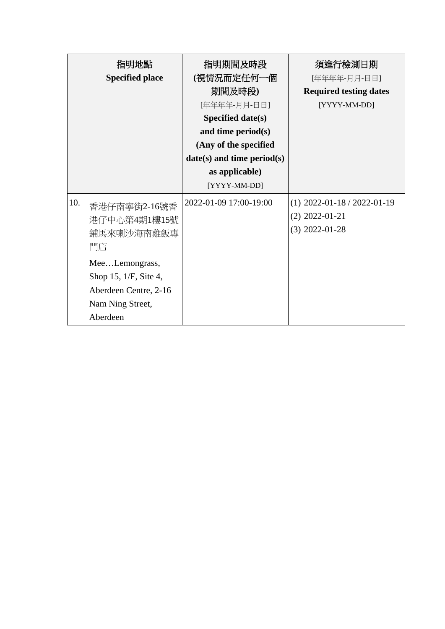|     | 指明地點                                                                                             | 指明期間及時段                         | 須進行檢測日期                                                               |
|-----|--------------------------------------------------------------------------------------------------|---------------------------------|-----------------------------------------------------------------------|
|     | <b>Specified place</b>                                                                           | (視情況而定任何一個                      | [年年年年-月月-日日]                                                          |
|     |                                                                                                  | 期間及時段)                          | <b>Required testing dates</b>                                         |
|     |                                                                                                  | [年年年年-月月-日日]                    | [YYYY-MM-DD]                                                          |
|     |                                                                                                  | Specified date(s)               |                                                                       |
|     |                                                                                                  | and time period(s)              |                                                                       |
|     |                                                                                                  | (Any of the specified           |                                                                       |
|     |                                                                                                  | $date(s)$ and time period $(s)$ |                                                                       |
|     |                                                                                                  | as applicable)                  |                                                                       |
|     |                                                                                                  | [YYYY-MM-DD]                    |                                                                       |
| 10. | 香港仔南寧街2-16號香<br>港仔中心第4期1樓15號<br>鋪馬來喇沙海南雞飯專<br>門店                                                 | 2022-01-09 17:00-19:00          | $(1)$ 2022-01-18 / 2022-01-19<br>$(2)$ 2022-01-21<br>$(3)$ 2022-01-28 |
|     | MeeLemongrass,<br>Shop 15, 1/F, Site 4,<br>Aberdeen Centre, 2-16<br>Nam Ning Street,<br>Aberdeen |                                 |                                                                       |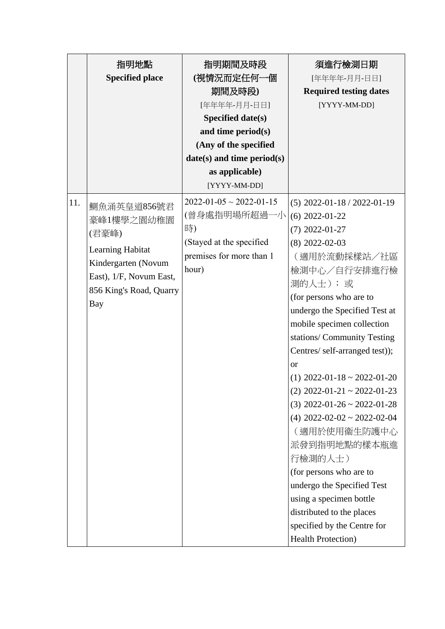|     | 指明地點                    | 指明期間及時段                              | 須進行檢測日期                        |
|-----|-------------------------|--------------------------------------|--------------------------------|
|     | <b>Specified place</b>  | (視情況而定任何一個                           | [年年年年-月月-日日]                   |
|     |                         | 期間及時段)                               | <b>Required testing dates</b>  |
|     |                         | [年年年年-月月-日日]                         | [YYYY-MM-DD]                   |
|     |                         | Specified date(s)                    |                                |
|     |                         | and time period(s)                   |                                |
|     |                         | (Any of the specified                |                                |
|     |                         | date(s) and time period(s)           |                                |
|     |                         | as applicable)                       |                                |
|     |                         | [YYYY-MM-DD]                         |                                |
| 11. | 鰂魚涌英皇道856號君             | $2022 - 01 - 05 \sim 2022 - 01 - 15$ | $(5)$ 2022-01-18 / 2022-01-19  |
|     | 豪峰1樓學之園幼稚園              | (曾身處指明場所超過一小                         | $(6)$ 2022-01-22               |
|     | (君豪峰)                   | 時)                                   | $(7)$ 2022-01-27               |
|     |                         | (Stayed at the specified             | $(8)$ 2022-02-03               |
|     | <b>Learning Habitat</b> | premises for more than 1             | (適用於流動採樣站/社區                   |
|     | Kindergarten (Novum     | hour)                                | 檢測中心/自行安排進行檢                   |
|     | East), 1/F, Novum East, |                                      | 測的人士); 或                       |
|     | 856 King's Road, Quarry |                                      | (for persons who are to        |
|     | Bay                     |                                      | undergo the Specified Test at  |
|     |                         |                                      | mobile specimen collection     |
|     |                         |                                      | stations/ Community Testing    |
|     |                         |                                      | Centres/ self-arranged test)); |
|     |                         |                                      | <sub>or</sub>                  |
|     |                         |                                      | $(1)$ 2022-01-18 ~ 2022-01-20  |
|     |                         |                                      | $(2)$ 2022-01-21 ~ 2022-01-23  |
|     |                         |                                      | $(3)$ 2022-01-26 ~ 2022-01-28  |
|     |                         |                                      | $(4)$ 2022-02-02 ~ 2022-02-04  |
|     |                         |                                      | (適用於使用衞生防護中心                   |
|     |                         |                                      | 派發到指明地點的樣本瓶進                   |
|     |                         |                                      | 行檢測的人士)                        |
|     |                         |                                      | (for persons who are to        |
|     |                         |                                      | undergo the Specified Test     |
|     |                         |                                      | using a specimen bottle        |
|     |                         |                                      | distributed to the places      |
|     |                         |                                      | specified by the Centre for    |
|     |                         |                                      | <b>Health Protection</b> )     |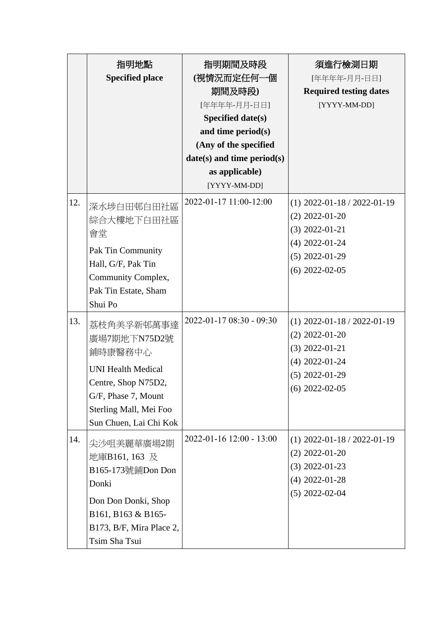|     | 指明地點<br><b>Specified place</b>                                                                                                                                       | 指明期間及時段<br>(視情況而定任何一個<br>期間及時段)<br>[年年年年-月月-日日]<br><b>Specified date(s)</b><br>and time period(s)<br>(Any of the specified<br>$date(s)$ and time period $(s)$<br>as applicable)<br>[YYYY-MM-DD] | 須進行檢測日期<br>[年年年年-月月-日日]<br><b>Required testing dates</b><br>[YYYY-MM-DD]                                                          |
|-----|----------------------------------------------------------------------------------------------------------------------------------------------------------------------|-------------------------------------------------------------------------------------------------------------------------------------------------------------------------------------------------|-----------------------------------------------------------------------------------------------------------------------------------|
| 12. | 深水埗白田邨白田社區<br>綜合大樓地下白田社區<br>會堂<br>Pak Tin Community<br>Hall, G/F, Pak Tin<br>Community Complex,<br>Pak Tin Estate, Sham<br>Shui Po                                   | 2022-01-17 11:00-12:00                                                                                                                                                                          | $(1)$ 2022-01-18 / 2022-01-19<br>$(2)$ 2022-01-20<br>$(3)$ 2022-01-21<br>$(4)$ 2022-01-24<br>$(5)$ 2022-01-29<br>$(6)$ 2022-02-05 |
| 13. | 荔枝角美孚新邨萬事達<br>廣場7期地下N75D2號<br>鋪時康醫務中心<br><b>UNI Health Medical</b><br>Centre, Shop N75D2,<br>G/F, Phase 7, Mount<br>Sterling Mall, Mei Foo<br>Sun Chuen, Lai Chi Kok | 2022-01-17 08:30 - 09:30                                                                                                                                                                        | $(1)$ 2022-01-18 / 2022-01-19<br>$(2)$ 2022-01-20<br>$(3)$ 2022-01-21<br>$(4)$ 2022-01-24<br>$(5)$ 2022-01-29<br>$(6)$ 2022-02-05 |
| 14. | 尖沙咀美麗華廣場2期<br>地庫B161, 163 及<br>B165-173號鋪Don Don<br>Donki<br>Don Don Donki, Shop<br>B161, B163 & B165-<br>B173, B/F, Mira Place 2,<br>Tsim Sha Tsui                  | 2022-01-16 12:00 - 13:00                                                                                                                                                                        | $(1)$ 2022-01-18 / 2022-01-19<br>$(2)$ 2022-01-20<br>$(3)$ 2022-01-23<br>$(4)$ 2022-01-28<br>$(5)$ 2022-02-04                     |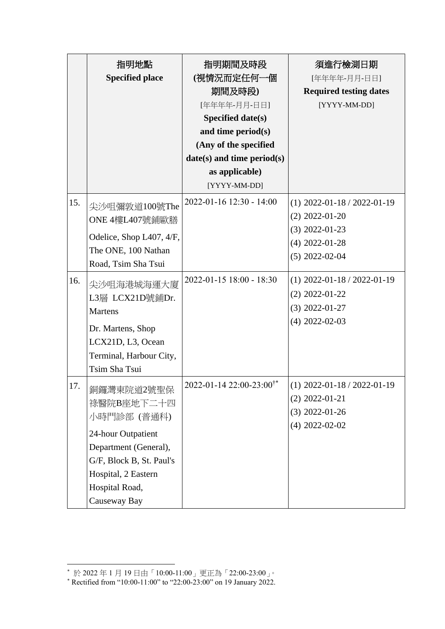|            | 指明地點<br><b>Specified place</b>                                                                                                                                                                                                                     | 指明期間及時段<br>(視情況而定任何一個<br>期間及時段)<br>[年年年年-月月-日日]<br><b>Specified date(s)</b><br>and time period(s)<br>(Any of the specified<br>$date(s)$ and time period $(s)$<br>as applicable)<br>[YYYY-MM-DD] | 須進行檢測日期<br>[年年年年-月月-日日]<br><b>Required testing dates</b><br>[YYYY-MM-DD]                                                                                                                                   |
|------------|----------------------------------------------------------------------------------------------------------------------------------------------------------------------------------------------------------------------------------------------------|-------------------------------------------------------------------------------------------------------------------------------------------------------------------------------------------------|------------------------------------------------------------------------------------------------------------------------------------------------------------------------------------------------------------|
| 15.<br>16. | 尖沙咀彌敦道100號The<br>ONE 4樓L407號鋪歐膳<br>Odelice, Shop L407, 4/F,<br>The ONE, 100 Nathan<br>Road, Tsim Sha Tsui<br>尖沙咀海港城海運大廈<br>L3層 LCX21D號鋪Dr.<br><b>Martens</b><br>Dr. Martens, Shop<br>LCX21D, L3, Ocean<br>Terminal, Harbour City,<br>Tsim Sha Tsui | 2022-01-16 12:30 - 14:00<br>2022-01-15 18:00 - 18:30                                                                                                                                            | $(1)$ 2022-01-18 / 2022-01-19<br>$(2)$ 2022-01-20<br>$(3)$ 2022-01-23<br>$(4)$ 2022-01-28<br>$(5)$ 2022-02-04<br>$(1)$ 2022-01-18 / 2022-01-19<br>$(2)$ 2022-01-22<br>$(3)$ 2022-01-27<br>$(4)$ 2022-02-03 |
| 17.        | 銅鑼灣東院道2號聖保<br>祿醫院B座地下二十四<br>小時門診部 (普通科)<br>24-hour Outpatient<br>Department (General),<br>G/F, Block B, St. Paul's<br>Hospital, 2 Eastern<br>Hospital Road,<br>Causeway Bay                                                                        | 2022-01-14 22:00-23:00 <sup>†*</sup>                                                                                                                                                            | $(1)$ 2022-01-18 / 2022-01-19<br>$(2)$ 2022-01-21<br>$(3)$ 2022-01-26<br>$(4)$ 2022-02-02                                                                                                                  |

1

<sup>\*</sup> 於 2022 年 1 月 19 日由「10:00-11:00」更正為「22:00-23:00」。

<sup>\*</sup> Rectified from "10:00-11:00" to "22:00-23:00" on 19 January 2022.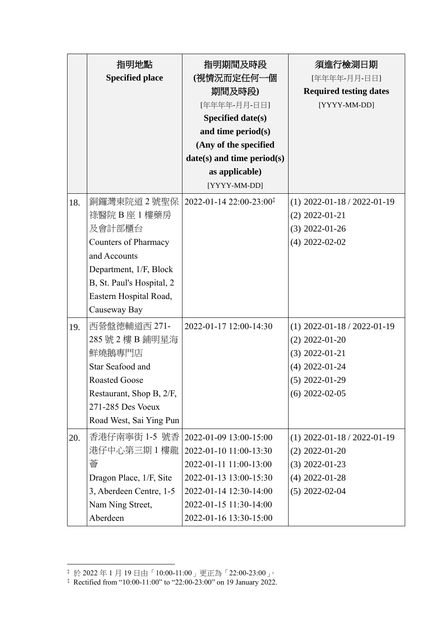|     | 指明地點                        | 指明期間及時段                                      | 須進行檢測日期                       |
|-----|-----------------------------|----------------------------------------------|-------------------------------|
|     | <b>Specified place</b>      | (視情況而定任何一個                                   | [年年年年-月月-日日]                  |
|     |                             | 期間及時段)                                       | <b>Required testing dates</b> |
|     |                             | [年年年年-月月-日日]                                 | [YYYY-MM-DD]                  |
|     |                             | <b>Specified date(s)</b>                     |                               |
|     |                             | and time period(s)                           |                               |
|     |                             | (Any of the specified                        |                               |
|     |                             | $date(s)$ and time period $(s)$              |                               |
|     |                             | as applicable)                               |                               |
|     |                             | [YYYY-MM-DD]                                 |                               |
| 18. | 銅鑼灣東院道2號聖保                  | $2022 - 01 - 1422 : 00 - 23 : 00^{\ddagger}$ | $(1)$ 2022-01-18 / 2022-01-19 |
|     | 祿醫院 B 座 1 樓藥房               |                                              | $(2)$ 2022-01-21              |
|     | 及會計部櫃台                      |                                              | $(3)$ 2022-01-26              |
|     | <b>Counters of Pharmacy</b> |                                              | $(4)$ 2022-02-02              |
|     | and Accounts                |                                              |                               |
|     | Department, 1/F, Block      |                                              |                               |
|     | B, St. Paul's Hospital, 2   |                                              |                               |
|     | Eastern Hospital Road,      |                                              |                               |
|     | Causeway Bay                |                                              |                               |
| 19. | 西營盤德輔道西 271-                | 2022-01-17 12:00-14:30                       | $(1)$ 2022-01-18 / 2022-01-19 |
|     | 285 號 2 樓 B 鋪明星海            |                                              | $(2)$ 2022-01-20              |
|     | 鮮燒鵝專門店                      |                                              | $(3)$ 2022-01-21              |
|     | Star Seafood and            |                                              | $(4)$ 2022-01-24              |
|     | <b>Roasted Goose</b>        |                                              | $(5)$ 2022-01-29              |
|     | Restaurant, Shop B, 2/F,    |                                              | $(6)$ 2022-02-05              |
|     | 271-285 Des Voeux           |                                              |                               |
|     | Road West, Sai Ying Pun     |                                              |                               |
| 20. | 香港仔南寧街 1-5 號香               | 2022-01-09 13:00-15:00                       | $(1)$ 2022-01-18 / 2022-01-19 |
|     | 港仔中心第三期 1 樓龍                | 2022-01-10 11:00-13:30                       | $(2)$ 2022-01-20              |
|     | 薈                           | 2022-01-11 11:00-13:00                       | $(3)$ 2022-01-23              |
|     | Dragon Place, 1/F, Site     | 2022-01-13 13:00-15:30                       | $(4)$ 2022-01-28              |
|     | 3, Aberdeen Centre, 1-5     | 2022-01-14 12:30-14:00                       | $(5)$ 2022-02-04              |
|     | Nam Ning Street,            | 2022-01-15 11:30-14:00                       |                               |
|     | Aberdeen                    | 2022-01-16 13:30-15:00                       |                               |

1

<sup>‡</sup> 於 2022 年 1 月 19 日由「10:00-11:00」更正為「22:00-23:00」。

<sup>‡</sup> Rectified from "10:00-11:00" to "22:00-23:00" on 19 January 2022.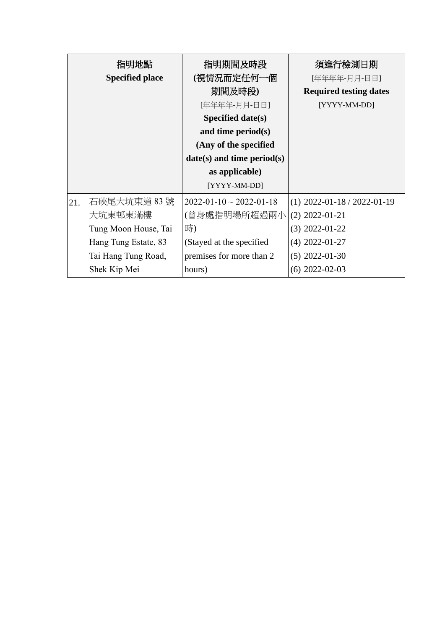|     | 指明地點                   | 指明期間及時段                              | 須進行檢測日期                       |
|-----|------------------------|--------------------------------------|-------------------------------|
|     | <b>Specified place</b> | (視情況而定任何一個                           | [年年年年-月月-日日]                  |
|     |                        | 期間及時段)                               | <b>Required testing dates</b> |
|     |                        | [年年年年-月月-日日]                         | [YYYY-MM-DD]                  |
|     |                        | Specified date(s)                    |                               |
|     |                        | and time period $(s)$                |                               |
|     |                        | (Any of the specified                |                               |
|     |                        | $date(s)$ and time period(s)         |                               |
|     |                        | as applicable)                       |                               |
|     |                        | [YYYY-MM-DD]                         |                               |
| 21. | 石硤尾大坑東道 83號            | $2022 - 01 - 10 \sim 2022 - 01 - 18$ | $(1)$ 2022-01-18 / 2022-01-19 |
|     | 大坑東邨東滿樓                | (曾身處指明場所超過兩小                         | $(2)$ 2022-01-21              |
|     | Tung Moon House, Tai   | 時)                                   | $(3)$ 2022-01-22              |
|     | Hang Tung Estate, 83   | (Stayed at the specified             | $(4)$ 2022-01-27              |
|     | Tai Hang Tung Road,    | premises for more than 2             | $(5)$ 2022-01-30              |
|     | Shek Kip Mei           | hours)                               | $(6)$ 2022-02-03              |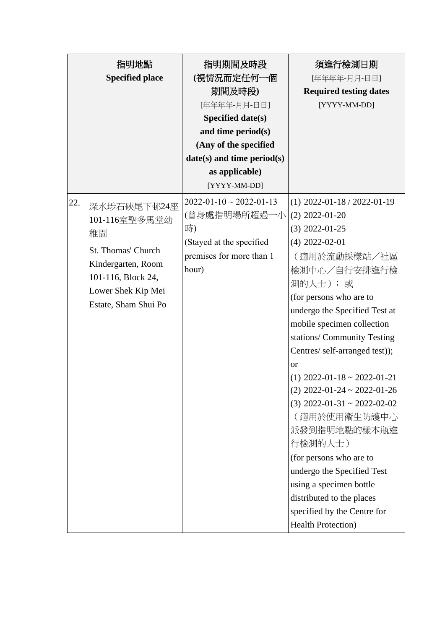|     | 指明地點                   | 指明期間及時段                              | 須進行檢測日期                        |
|-----|------------------------|--------------------------------------|--------------------------------|
|     | <b>Specified place</b> | (視情況而定任何一個                           | [年年年年-月月-日日]                   |
|     |                        | 期間及時段)                               | <b>Required testing dates</b>  |
|     |                        | [年年年年-月月-日日]                         | [YYYY-MM-DD]                   |
|     |                        | Specified date(s)                    |                                |
|     |                        | and time period(s)                   |                                |
|     |                        | (Any of the specified                |                                |
|     |                        | $date(s)$ and time period $(s)$      |                                |
|     |                        | as applicable)                       |                                |
|     |                        | [YYYY-MM-DD]                         |                                |
| 22. | 深水埗石硤尾下邨24座            | $2022 - 01 - 10 \sim 2022 - 01 - 13$ | $(1)$ 2022-01-18 / 2022-01-19  |
|     | 101-116室聖多馬堂幼          | (曾身處指明場所超過一小                         | $(2)$ 2022-01-20               |
|     | 稚園                     | 時)                                   | $(3)$ 2022-01-25               |
|     |                        | (Stayed at the specified             | $(4)$ 2022-02-01               |
|     | St. Thomas' Church     | premises for more than 1             | (適用於流動採樣站/社區                   |
|     | Kindergarten, Room     | hour)                                | 檢測中心/自行安排進行檢                   |
|     | 101-116, Block 24,     |                                      | 測的人士); 或                       |
|     | Lower Shek Kip Mei     |                                      | (for persons who are to        |
|     | Estate, Sham Shui Po   |                                      | undergo the Specified Test at  |
|     |                        |                                      | mobile specimen collection     |
|     |                        |                                      | stations/ Community Testing    |
|     |                        |                                      | Centres/ self-arranged test)); |
|     |                        |                                      | <sub>or</sub>                  |
|     |                        |                                      | $(1)$ 2022-01-18 ~ 2022-01-21  |
|     |                        |                                      | $(2)$ 2022-01-24 ~ 2022-01-26  |
|     |                        |                                      | $(3)$ 2022-01-31 ~ 2022-02-02  |
|     |                        |                                      | (適用於使用衞生防護中心                   |
|     |                        |                                      | 派發到指明地點的樣本瓶進                   |
|     |                        |                                      | 行檢測的人士)                        |
|     |                        |                                      | (for persons who are to        |
|     |                        |                                      | undergo the Specified Test     |
|     |                        |                                      | using a specimen bottle        |
|     |                        |                                      | distributed to the places      |
|     |                        |                                      | specified by the Centre for    |
|     |                        |                                      | <b>Health Protection</b> )     |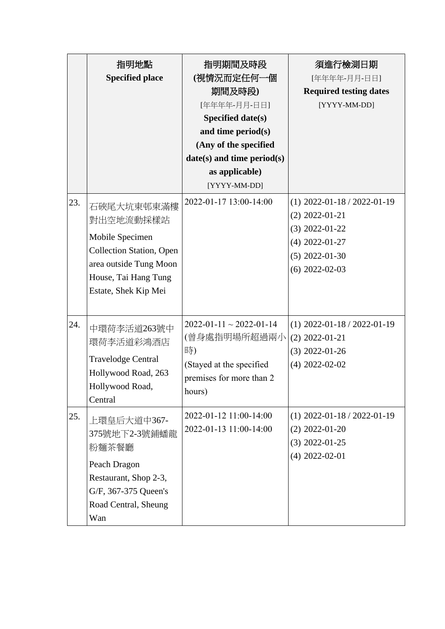|     | 指明地點                            | 指明期間及時段                              | 須進行檢測日期                       |
|-----|---------------------------------|--------------------------------------|-------------------------------|
|     | <b>Specified place</b>          | (視情況而定任何一個                           | [年年年年-月月-日日]                  |
|     |                                 | 期間及時段)                               | <b>Required testing dates</b> |
|     |                                 | [年年年年-月月-日日]                         | [YYYY-MM-DD]                  |
|     |                                 | Specified date(s)                    |                               |
|     |                                 | and time period(s)                   |                               |
|     |                                 | (Any of the specified                |                               |
|     |                                 | $date(s)$ and time period $(s)$      |                               |
|     |                                 | as applicable)                       |                               |
|     |                                 | [YYYY-MM-DD]                         |                               |
| 23. | 石硤尾大坑東邨東滿樓                      | 2022-01-17 13:00-14:00               | $(1)$ 2022-01-18 / 2022-01-19 |
|     | 對出空地流動採樣站                       |                                      | $(2)$ 2022-01-21              |
|     |                                 |                                      | $(3)$ 2022-01-22              |
|     | Mobile Specimen                 |                                      | $(4)$ 2022-01-27              |
|     | <b>Collection Station, Open</b> |                                      | $(5)$ 2022-01-30              |
|     | area outside Tung Moon          |                                      | $(6)$ 2022-02-03              |
|     | House, Tai Hang Tung            |                                      |                               |
|     | Estate, Shek Kip Mei            |                                      |                               |
|     |                                 |                                      |                               |
| 24. | 中環荷李活道263號中                     | $2022 - 01 - 11 \sim 2022 - 01 - 14$ | $(1)$ 2022-01-18 / 2022-01-19 |
|     | 環荷李活道彩鴻酒店                       | (曾身處指明場所超過兩小                         | $(2)$ 2022-01-21              |
|     |                                 | 時)                                   | $(3)$ 2022-01-26              |
|     | <b>Travelodge Central</b>       | (Stayed at the specified             | $(4)$ 2022-02-02              |
|     | Hollywood Road, 263             | premises for more than 2             |                               |
|     | Hollywood Road,                 | hours)                               |                               |
|     | Central                         |                                      |                               |
| 25. | 上環皇后大道中367-                     | 2022-01-12 11:00-14:00               | $(1)$ 2022-01-18 / 2022-01-19 |
|     | 375號地下2-3號鋪蟠龍                   | 2022-01-13 11:00-14:00               | $(2)$ 2022-01-20              |
|     | 粉麵茶餐廳                           |                                      | $(3)$ 2022-01-25              |
|     | Peach Dragon                    |                                      | $(4)$ 2022-02-01              |
|     | Restaurant, Shop 2-3,           |                                      |                               |
|     | G/F, 367-375 Queen's            |                                      |                               |
|     | Road Central, Sheung            |                                      |                               |
|     | Wan                             |                                      |                               |
|     |                                 |                                      |                               |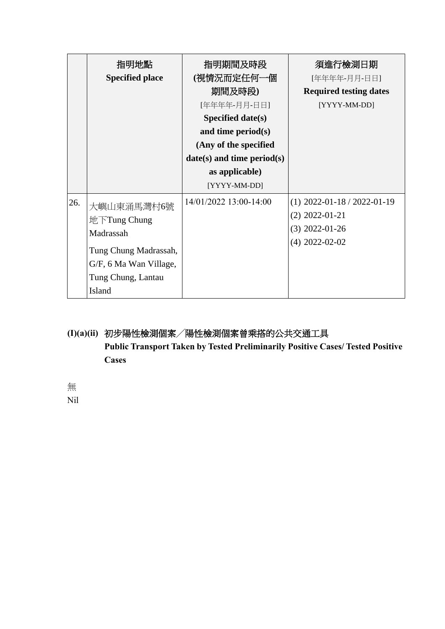|     | 指明地點<br><b>Specified place</b>                                                                                             | 指明期間及時段<br>(視情況而定任何一個<br>期間及時段)<br>[年年年年-月月-日日]<br>Specified date(s)<br>and time period $(s)$<br>(Any of the specified<br>$date(s)$ and time period(s)<br>as applicable)<br>[YYYY-MM-DD] | 須進行檢測日期<br>[年年年年-月月-日日]<br><b>Required testing dates</b><br>[YYYY-MM-DD]                  |
|-----|----------------------------------------------------------------------------------------------------------------------------|------------------------------------------------------------------------------------------------------------------------------------------------------------------------------------------|-------------------------------------------------------------------------------------------|
| 26. | 大嶼山東涌馬灣村6號<br>地下Tung Chung<br>Madrassah<br>Tung Chung Madrassah,<br>G/F, 6 Ma Wan Village,<br>Tung Chung, Lantau<br>Island | 14/01/2022 13:00-14:00                                                                                                                                                                   | $(1)$ 2022-01-18 / 2022-01-19<br>$(2)$ 2022-01-21<br>$(3)$ 2022-01-26<br>$(4)$ 2022-02-02 |

# **(I)(a)(ii)** 初步陽性檢測個案╱陽性檢測個案曾乘搭的公共交通工具 **Public Transport Taken by Tested Preliminarily Positive Cases/ Tested Positive Cases**

無 Nil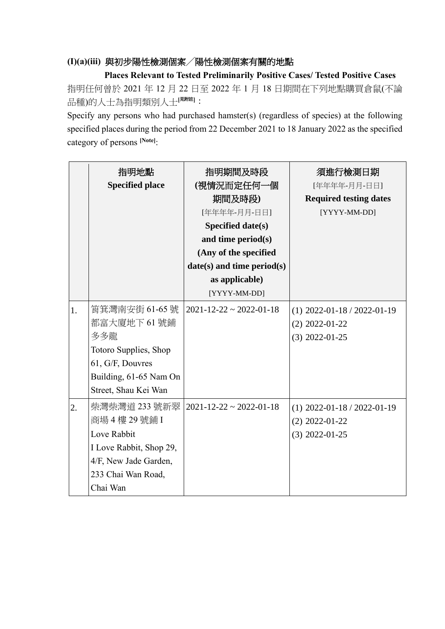#### **(I)(a)(iii)** 與初步陽性檢測個案╱陽性檢測個案有關的地點

**Places Relevant to Tested Preliminarily Positive Cases/ Tested Positive Cases** 指明任何曾於 2021 年 12 月 22 日至 2022 年 1 月 18 日期間在下列地點購買倉鼠(不論 品種)的人士為指明類別人士**[**見附註**]**:

Specify any persons who had purchased hamster(s) (regardless of species) at the following specified places during the period from 22 December 2021 to 18 January 2022 as the specified category of persons **[Note]**:

|    | 指明地點<br><b>Specified place</b>                                                                                                     | 指明期間及時段<br>(視情況而定任何一個<br>期間及時段)<br>[年年年年-月月-日日]<br>Specified date(s)<br>and time period(s)<br>(Any of the specified<br>$date(s)$ and time period(s)<br>as applicable) | 須進行檢測日期<br>[年年年年-月月-日日]<br><b>Required testing dates</b><br>[YYYY-MM-DD] |
|----|------------------------------------------------------------------------------------------------------------------------------------|-----------------------------------------------------------------------------------------------------------------------------------------------------------------------|--------------------------------------------------------------------------|
|    |                                                                                                                                    | [YYYY-MM-DD]                                                                                                                                                          |                                                                          |
| 1. | 筲箕灣南安街 61-65號<br>都富大廈地下61號鋪<br>多多龍<br>Totoro Supplies, Shop<br>61, G/F, Douvres<br>Building, 61-65 Nam On<br>Street, Shau Kei Wan  | $2021 - 12 - 22 \approx 2022 - 01 - 18$                                                                                                                               | $(1)$ 2022-01-18 / 2022-01-19<br>$(2)$ 2022-01-22<br>$(3)$ 2022-01-25    |
| 2. | 柴灣柴灣道 233 號新翠<br>商場 4樓 29號鋪 I<br>Love Rabbit<br>I Love Rabbit, Shop 29,<br>4/F, New Jade Garden,<br>233 Chai Wan Road,<br>Chai Wan | $2021 - 12 - 22 \approx 2022 - 01 - 18$                                                                                                                               | $(1)$ 2022-01-18 / 2022-01-19<br>$(2)$ 2022-01-22<br>$(3)$ 2022-01-25    |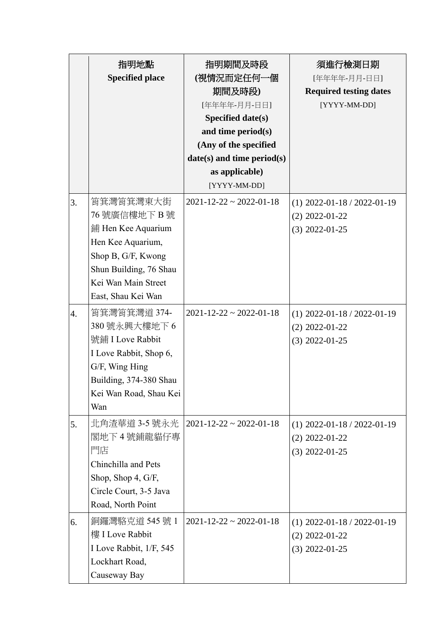|    | 指明地點<br><b>Specified place</b>                                                                                                                                     | 指明期間及時段<br>(視情況而定任何一個<br>期間及時段)<br>[年年年年-月月-日日]<br>Specified date(s)<br>and time period(s)<br>(Any of the specified<br>$date(s)$ and time period(s)<br>as applicable)<br>[YYYY-MM-DD] | 須進行檢測日期<br>[年年年年-月月-日日]<br><b>Required testing dates</b><br>[YYYY-MM-DD] |
|----|--------------------------------------------------------------------------------------------------------------------------------------------------------------------|---------------------------------------------------------------------------------------------------------------------------------------------------------------------------------------|--------------------------------------------------------------------------|
| 3. | 筲箕灣筲箕灣東大街<br>76 號廣信樓地下 B 號<br>鋪 Hen Kee Aquarium<br>Hen Kee Aquarium,<br>Shop B, G/F, Kwong<br>Shun Building, 76 Shau<br>Kei Wan Main Street<br>East, Shau Kei Wan | $2021 - 12 - 22 \approx 2022 - 01 - 18$                                                                                                                                               | $(1)$ 2022-01-18 / 2022-01-19<br>$(2)$ 2022-01-22<br>$(3)$ 2022-01-25    |
| 4. | 筲箕灣筲箕灣道 374-<br>380號永興大樓地下6<br>號鋪 I Love Rabbit<br>I Love Rabbit, Shop 6,<br>G/F, Wing Hing<br>Building, 374-380 Shau<br>Kei Wan Road, Shau Kei<br>Wan             | $2021 - 12 - 22 \approx 2022 - 01 - 18$                                                                                                                                               | $(1)$ 2022-01-18 / 2022-01-19<br>$(2)$ 2022-01-22<br>$(3)$ 2022-01-25    |
| 5. | 北角渣華道 3-5 號永光<br>閣地下4號鋪龍貓仔專<br>門店<br>Chinchilla and Pets<br>Shop, Shop 4, G/F,<br>Circle Court, 3-5 Java<br>Road, North Point                                      | $2021 - 12 - 22 \approx 2022 - 01 - 18$                                                                                                                                               | $(1)$ 2022-01-18 / 2022-01-19<br>$(2)$ 2022-01-22<br>$(3)$ 2022-01-25    |
| 6. | 銅鑼灣駱克道 545 號 1<br>樓 I Love Rabbit<br>I Love Rabbit, 1/F, 545<br>Lockhart Road,<br>Causeway Bay                                                                     | $2021 - 12 - 22 \approx 2022 - 01 - 18$                                                                                                                                               | $(1)$ 2022-01-18 / 2022-01-19<br>$(2)$ 2022-01-22<br>$(3)$ 2022-01-25    |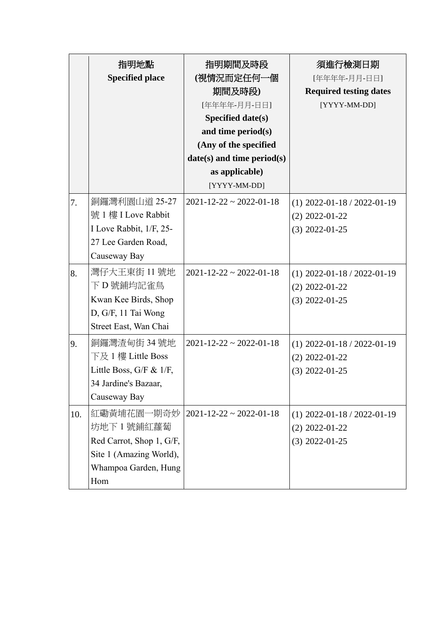|     | 指明地點<br><b>Specified place</b>                                                                                  | 指明期間及時段<br>(視情況而定任何一個<br>期間及時段)<br>[年年年年-月月-日日]<br>Specified date(s)<br>and time period(s)<br>(Any of the specified<br>$date(s)$ and time period(s)<br>as applicable)<br>[YYYY-MM-DD] | 須進行檢測日期<br>[年年年年-月月-日日]<br><b>Required testing dates</b><br>[YYYY-MM-DD] |
|-----|-----------------------------------------------------------------------------------------------------------------|---------------------------------------------------------------------------------------------------------------------------------------------------------------------------------------|--------------------------------------------------------------------------|
| 7.  | 銅鑼灣利園山道 25-27<br>號 1 樓 I Love Rabbit<br>I Love Rabbit, 1/F, 25-<br>27 Lee Garden Road,<br>Causeway Bay          | $2021 - 12 - 22 \approx 2022 - 01 - 18$                                                                                                                                               | $(1)$ 2022-01-18 / 2022-01-19<br>$(2)$ 2022-01-22<br>$(3)$ 2022-01-25    |
| 8.  | 灣仔大王東街 11 號地<br>下 D 號鋪均記雀鳥<br>Kwan Kee Birds, Shop<br>D, G/F, 11 Tai Wong<br>Street East, Wan Chai              | $2021 - 12 - 22 \approx 2022 - 01 - 18$                                                                                                                                               | $(1)$ 2022-01-18 / 2022-01-19<br>$(2)$ 2022-01-22<br>$(3)$ 2022-01-25    |
| 9.  | 銅鑼灣渣甸街 34 號地<br>下及 1 樓 Little Boss<br>Little Boss, G/F & 1/F,<br>34 Jardine's Bazaar,<br>Causeway Bay           | $2021 - 12 - 22 \approx 2022 - 01 - 18$                                                                                                                                               | $(1)$ 2022-01-18 / 2022-01-19<br>$(2)$ 2022-01-22<br>$(3)$ 2022-01-25    |
| 10. | 紅磡黃埔花園一期奇妙<br>坊地下 1 號鋪紅蘿蔔<br>Red Carrot, Shop 1, G/F,<br>Site 1 (Amazing World),<br>Whampoa Garden, Hung<br>Hom | $2021 - 12 - 22 \approx 2022 - 01 - 18$                                                                                                                                               | $(1)$ 2022-01-18 / 2022-01-19<br>$(2)$ 2022-01-22<br>$(3)$ 2022-01-25    |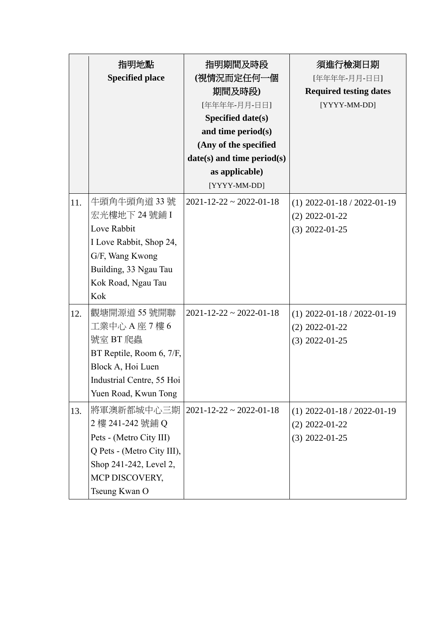|     | 指明地點<br><b>Specified place</b>                                                                                                                       | 指明期間及時段<br>(視情況而定任何一個<br>期間及時段)<br>[年年年年-月月-日日]<br>Specified date(s)<br>and time period(s)<br>(Any of the specified<br>$date(s)$ and time period $(s)$<br>as applicable)<br>[YYYY-MM-DD] | 須進行檢測日期<br>[年年年年-月月-日日]<br><b>Required testing dates</b><br>[YYYY-MM-DD] |
|-----|------------------------------------------------------------------------------------------------------------------------------------------------------|------------------------------------------------------------------------------------------------------------------------------------------------------------------------------------------|--------------------------------------------------------------------------|
| 11. | 牛頭角牛頭角道 33號<br>宏光樓地下 24 號鋪 I<br>Love Rabbit<br>I Love Rabbit, Shop 24,<br>G/F, Wang Kwong<br>Building, 33 Ngau Tau<br>Kok Road, Ngau Tau<br>Kok      | $2021 - 12 - 22 \approx 2022 - 01 - 18$                                                                                                                                                  | $(1)$ 2022-01-18 / 2022-01-19<br>$(2)$ 2022-01-22<br>$(3)$ 2022-01-25    |
| 12. | 觀塘開源道 55 號開聯<br>工業中心 A 座 7 樓 6<br>號室 BT 爬蟲<br>BT Reptile, Room 6, 7/F,<br>Block A, Hoi Luen<br>Industrial Centre, 55 Hoi<br>Yuen Road, Kwun Tong     | $2021 - 12 - 22 \approx 2022 - 01 - 18$                                                                                                                                                  | $(1)$ 2022-01-18 / 2022-01-19<br>$(2)$ 2022-01-22<br>$(3)$ 2022-01-25    |
| 13. | 將軍澳新都城中心三期<br>2 樓 241-242 號鋪 Q<br>Pets - (Metro City III)<br>Q Pets - (Metro City III),<br>Shop 241-242, Level 2,<br>MCP DISCOVERY,<br>Tseung Kwan O | $2021 - 12 - 22 \approx 2022 - 01 - 18$                                                                                                                                                  | $(1)$ 2022-01-18 / 2022-01-19<br>$(2)$ 2022-01-22<br>$(3)$ 2022-01-25    |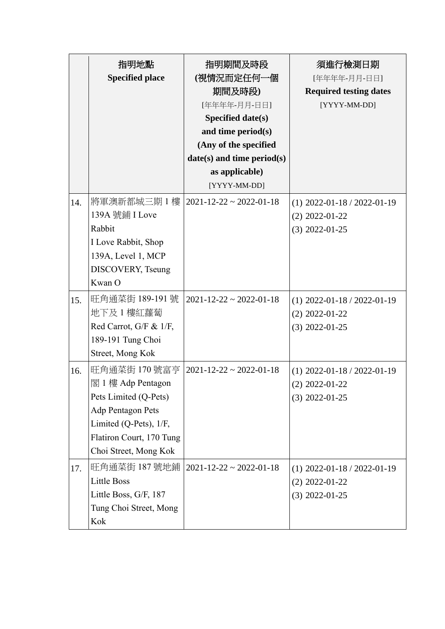|     | 指明地點<br><b>Specified place</b>                                                                                                                                  | 指明期間及時段<br>(視情況而定任何一個<br>期間及時段)<br>[年年年年-月月-日日]<br>Specified date(s)<br>and time period(s)<br>(Any of the specified<br>$date(s)$ and time period $(s)$<br>as applicable) | 須進行檢測日期<br>[年年年年-月月-日日]<br><b>Required testing dates</b><br>[YYYY-MM-DD] |
|-----|-----------------------------------------------------------------------------------------------------------------------------------------------------------------|--------------------------------------------------------------------------------------------------------------------------------------------------------------------------|--------------------------------------------------------------------------|
| 14. | 將軍澳新都城三期1樓<br>139A 號鋪 I Love<br>Rabbit<br>I Love Rabbit, Shop<br>139A, Level 1, MCP<br>DISCOVERY, Tseung<br>Kwan O                                              | [YYYY-MM-DD]<br>$2021 - 12 - 22 \approx 2022 - 01 - 18$                                                                                                                  | $(1)$ 2022-01-18 / 2022-01-19<br>$(2)$ 2022-01-22<br>$(3)$ 2022-01-25    |
| 15. | 旺角通菜街 189-191 號<br>地下及 1 樓紅蘿蔔<br>Red Carrot, G/F & 1/F,<br>189-191 Tung Choi<br>Street, Mong Kok                                                                | $2021 - 12 - 22 \approx 2022 - 01 - 18$                                                                                                                                  | $(1)$ 2022-01-18 / 2022-01-19<br>$(2)$ 2022-01-22<br>$(3)$ 2022-01-25    |
| 16. | 旺角通菜街 170號富亨<br>閣 1 樓 Adp Pentagon<br>Pets Limited (Q-Pets)<br>Adp Pentagon Pets<br>Limited (Q-Pets), 1/F,<br>Flatiron Court, 170 Tung<br>Choi Street, Mong Kok | $2021 - 12 - 22 \approx 2022 - 01 - 18$                                                                                                                                  | $(1)$ 2022-01-18 / 2022-01-19<br>$(2)$ 2022-01-22<br>$(3)$ 2022-01-25    |
| 17. | 旺角通菜街 187 號地鋪<br><b>Little Boss</b><br>Little Boss, G/F, 187<br>Tung Choi Street, Mong<br>Kok                                                                   | $2021 - 12 - 22 \approx 2022 - 01 - 18$                                                                                                                                  | $(1)$ 2022-01-18 / 2022-01-19<br>$(2)$ 2022-01-22<br>$(3)$ 2022-01-25    |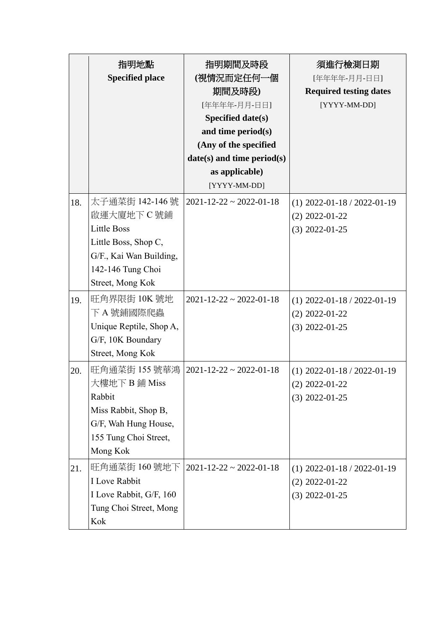|     | 指明地點<br><b>Specified place</b>                                                                                                                 | 指明期間及時段<br>(視情況而定任何一個<br>期間及時段)<br>[年年年年-月月-日日]<br>Specified date(s)<br>and time period(s)<br>(Any of the specified<br>$date(s)$ and time period $(s)$<br>as applicable)<br>[YYYY-MM-DD] | 須進行檢測日期<br>[年年年年-月月-日日]<br><b>Required testing dates</b><br>[YYYY-MM-DD] |
|-----|------------------------------------------------------------------------------------------------------------------------------------------------|------------------------------------------------------------------------------------------------------------------------------------------------------------------------------------------|--------------------------------------------------------------------------|
| 18. | 太子通菜街 142-146 號<br>啟運大廈地下C號鋪<br><b>Little Boss</b><br>Little Boss, Shop C,<br>G/F., Kai Wan Building,<br>142-146 Tung Choi<br>Street, Mong Kok | $2021 - 12 - 22 \approx 2022 - 01 - 18$                                                                                                                                                  | $(1)$ 2022-01-18 / 2022-01-19<br>$(2)$ 2022-01-22<br>$(3)$ 2022-01-25    |
| 19. | 旺角界限街 10K 號地<br>下 A 號鋪國際爬蟲<br>Unique Reptile, Shop A,<br>G/F, 10K Boundary<br>Street, Mong Kok                                                 | $2021 - 12 - 22 \approx 2022 - 01 - 18$                                                                                                                                                  | $(1)$ 2022-01-18 / 2022-01-19<br>$(2)$ 2022-01-22<br>$(3)$ 2022-01-25    |
| 20. | 旺角通菜街 155 號華鴻<br>大樓地下 B鋪 Miss<br>Rabbit<br>Miss Rabbit, Shop B,<br>G/F, Wah Hung House,<br>155 Tung Choi Street,<br>Mong Kok                   | $2021 - 12 - 22 \approx 2022 - 01 - 18$                                                                                                                                                  | $(1)$ 2022-01-18 / 2022-01-19<br>$(2)$ 2022-01-22<br>$(3)$ 2022-01-25    |
| 21. | 旺角通菜街 160號地下<br><b>I</b> Love Rabbit<br>I Love Rabbit, G/F, 160<br>Tung Choi Street, Mong<br>Kok                                               | $2021 - 12 - 22 \approx 2022 - 01 - 18$                                                                                                                                                  | $(1)$ 2022-01-18 / 2022-01-19<br>$(2)$ 2022-01-22<br>$(3)$ 2022-01-25    |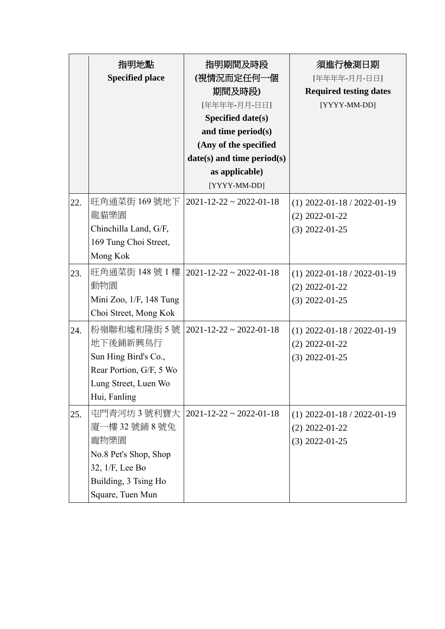|     | 指明地點<br><b>Specified place</b>                                                                                                 | 指明期間及時段<br>(視情況而定任何一個<br>期間及時段)<br>[年年年年-月月-日日]<br>Specified date(s)<br>and time period(s)<br>(Any of the specified<br>date(s) and time period(s)<br>as applicable)<br>[YYYY-MM-DD] | 須進行檢測日期<br>[年年年年-月月-日日]<br><b>Required testing dates</b><br>[YYYY-MM-DD] |
|-----|--------------------------------------------------------------------------------------------------------------------------------|-------------------------------------------------------------------------------------------------------------------------------------------------------------------------------------|--------------------------------------------------------------------------|
| 22. | 旺角通菜街 169 號地下<br>龍貓樂園<br>Chinchilla Land, G/F,<br>169 Tung Choi Street,<br>Mong Kok                                            | $2021 - 12 - 22 \approx 2022 - 01 - 18$                                                                                                                                             | $(1)$ 2022-01-18 / 2022-01-19<br>$(2)$ 2022-01-22<br>$(3)$ 2022-01-25    |
| 23. | 動物園<br>Mini Zoo, $1/F$ , 148 Tung<br>Choi Street, Mong Kok                                                                     | 旺角通菜街 148 號 1 樓   2021-12-22 ~ 2022-01-18                                                                                                                                           | $(1)$ 2022-01-18 / 2022-01-19<br>$(2)$ 2022-01-22<br>$(3)$ 2022-01-25    |
| 24. | 粉嶺聯和墟和隆街 5 號<br>地下後鋪新興鳥行<br>Sun Hing Bird's Co.,<br>Rear Portion, G/F, 5 Wo<br>Lung Street, Luen Wo<br>Hui, Fanling            | $2021 - 12 - 22 \approx 2022 - 01 - 18$                                                                                                                                             | $(1)$ 2022-01-18 / 2022-01-19<br>$(2)$ 2022-01-22<br>$(3)$ 2022-01-25    |
| 25. | 屯門青河坊 3 號利寶大<br>廈一樓 32 號鋪 8 號兔<br>寵物樂園<br>No.8 Pet's Shop, Shop<br>32, 1/F, Lee Bo<br>Building, 3 Tsing Ho<br>Square, Tuen Mun | $2021 - 12 - 22 \approx 2022 - 01 - 18$                                                                                                                                             | $(1)$ 2022-01-18 / 2022-01-19<br>$(2)$ 2022-01-22<br>$(3)$ 2022-01-25    |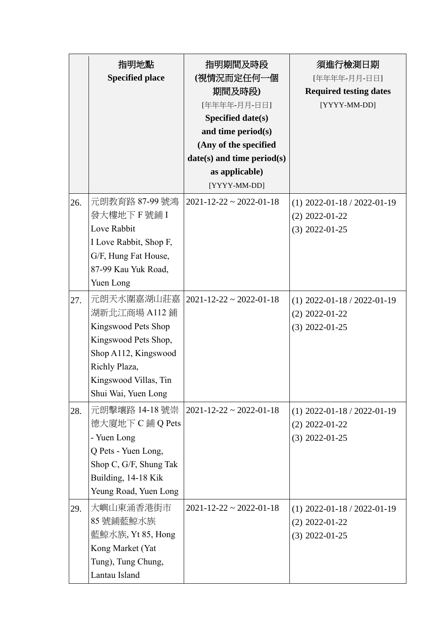|     | 指明地點<br><b>Specified place</b>                                                                                                                                      | 指明期間及時段<br>(視情況而定任何一個<br>期間及時段)<br>[年年年年-月月-日日]<br><b>Specified date(s)</b><br>and time period(s)<br>(Any of the specified<br>$date(s)$ and time period $(s)$<br>as applicable)<br>[YYYY-MM-DD] | 須進行檢測日期<br>[年年年年-月月-日日]<br><b>Required testing dates</b><br>[YYYY-MM-DD] |
|-----|---------------------------------------------------------------------------------------------------------------------------------------------------------------------|-------------------------------------------------------------------------------------------------------------------------------------------------------------------------------------------------|--------------------------------------------------------------------------|
| 26. | 元朗教育路 87-99 號鴻<br>發大樓地下F號鋪I<br>Love Rabbit<br>I Love Rabbit, Shop F,<br>G/F, Hung Fat House,<br>87-99 Kau Yuk Road,<br>Yuen Long                                    | $2021 - 12 - 22 \approx 2022 - 01 - 18$                                                                                                                                                         | $(1)$ 2022-01-18 / 2022-01-19<br>$(2)$ 2022-01-22<br>$(3)$ 2022-01-25    |
| 27. | 元朗天水圍嘉湖山莊嘉<br>湖新北江商場 A112 鋪<br>Kingswood Pets Shop<br>Kingswood Pets Shop,<br>Shop A112, Kingswood<br>Richly Plaza,<br>Kingswood Villas, Tin<br>Shui Wai, Yuen Long | $2021 - 12 - 22 \approx 2022 - 01 - 18$                                                                                                                                                         | $(1)$ 2022-01-18 / 2022-01-19<br>$(2)$ 2022-01-22<br>$(3)$ 2022-01-25    |
| 28. | 元朗擊壤路 14-18 號崇<br>德大廈地下 C 鋪 Q Pets<br>- Yuen Long<br>Q Pets - Yuen Long,<br>Shop C, G/F, Shung Tak<br>Building, 14-18 Kik<br>Yeung Road, Yuen Long                  | $2021 - 12 - 22 \approx 2022 - 01 - 18$                                                                                                                                                         | $(1)$ 2022-01-18 / 2022-01-19<br>$(2)$ 2022-01-22<br>$(3)$ 2022-01-25    |
| 29. | 大嶼山東涌香港街市<br>85號鋪藍鯨水族<br>藍鯨水族, Yt 85, Hong<br>Kong Market (Yat<br>Tung), Tung Chung,<br>Lantau Island                                                               | $2021 - 12 - 22 \approx 2022 - 01 - 18$                                                                                                                                                         | $(1)$ 2022-01-18 / 2022-01-19<br>$(2)$ 2022-01-22<br>$(3)$ 2022-01-25    |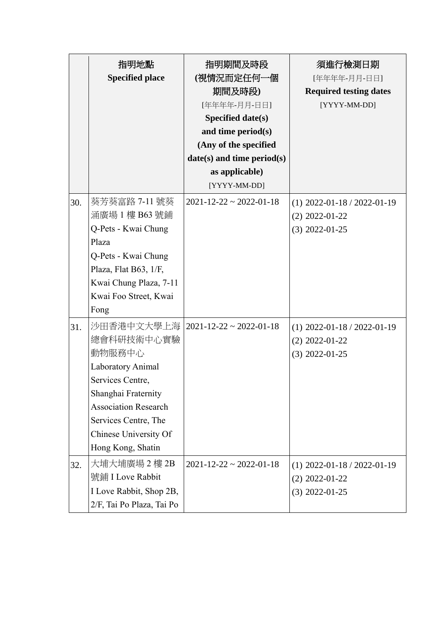|     | 指明地點<br><b>Specified place</b>                                                                                                                                                                          | 指明期間及時段<br>(視情況而定任何一個<br>期間及時段)<br>[年年年年-月月-日日]<br>Specified date(s)<br>and time period(s)<br>(Any of the specified<br>date(s) and time period(s)<br>as applicable)<br>[YYYY-MM-DD] | 須進行檢測日期<br>[年年年年-月月-日日]<br><b>Required testing dates</b><br>[YYYY-MM-DD] |
|-----|---------------------------------------------------------------------------------------------------------------------------------------------------------------------------------------------------------|-------------------------------------------------------------------------------------------------------------------------------------------------------------------------------------|--------------------------------------------------------------------------|
| 30. | 葵芳葵富路 7-11 號葵<br>涌廣場 1 樓 B63 號鋪<br>Q-Pets - Kwai Chung<br>Plaza<br>Q-Pets - Kwai Chung<br>Plaza, Flat B63, 1/F,<br>Kwai Chung Plaza, 7-11<br>Kwai Foo Street, Kwai<br>Fong                              | $2021 - 12 - 22 \approx 2022 - 01 - 18$                                                                                                                                             | $(1)$ 2022-01-18 / 2022-01-19<br>$(2)$ 2022-01-22<br>$(3)$ 2022-01-25    |
| 31. | 沙田香港中文大學上海<br>總會科研技術中心實驗<br>動物服務中心<br>Laboratory Animal<br>Services Centre,<br>Shanghai Fraternity<br><b>Association Research</b><br>Services Centre, The<br>Chinese University Of<br>Hong Kong, Shatin | $2021 - 12 - 22 \approx 2022 - 01 - 18$                                                                                                                                             | $(1)$ 2022-01-18 / 2022-01-19<br>$(2)$ 2022-01-22<br>$(3)$ 2022-01-25    |
| 32. | 大埔大埔廣場 2 樓 2B<br>號鋪 I Love Rabbit<br>I Love Rabbit, Shop 2B,<br>2/F, Tai Po Plaza, Tai Po                                                                                                               | $2021 - 12 - 22 \approx 2022 - 01 - 18$                                                                                                                                             | $(1)$ 2022-01-18 / 2022-01-19<br>$(2)$ 2022-01-22<br>$(3)$ 2022-01-25    |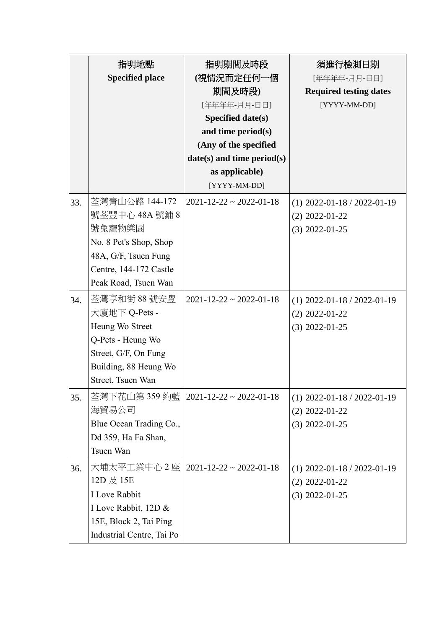|     | 指明地點<br><b>Specified place</b> | 指明期間及時段<br>(視情況而定任何一個                   | 須進行檢測日期<br>[年年年年-月月-日日]       |
|-----|--------------------------------|-----------------------------------------|-------------------------------|
|     |                                | 期間及時段)                                  | <b>Required testing dates</b> |
|     |                                | [年年年年-月月-日日]                            | [YYYY-MM-DD]                  |
|     |                                | Specified date(s)                       |                               |
|     |                                | and time period(s)                      |                               |
|     |                                | (Any of the specified                   |                               |
|     |                                | $date(s)$ and time period $(s)$         |                               |
|     |                                | as applicable)                          |                               |
|     |                                | [YYYY-MM-DD]                            |                               |
| 33. | 荃灣青山公路 144-172                 | $2021 - 12 - 22 \approx 2022 - 01 - 18$ | $(1)$ 2022-01-18 / 2022-01-19 |
|     | 號荃豐中心 48A 號鋪 8                 |                                         | $(2)$ 2022-01-22              |
|     | 號兔寵物樂園                         |                                         | $(3)$ 2022-01-25              |
|     | No. 8 Pet's Shop, Shop         |                                         |                               |
|     | 48A, G/F, Tsuen Fung           |                                         |                               |
|     | Centre, 144-172 Castle         |                                         |                               |
|     | Peak Road, Tsuen Wan           |                                         |                               |
| 34. | 荃灣享和街 88 號安豐                   | $2021 - 12 - 22 \approx 2022 - 01 - 18$ | $(1)$ 2022-01-18 / 2022-01-19 |
|     | 大廈地下 Q-Pets -                  |                                         | $(2)$ 2022-01-22              |
|     | Heung Wo Street                |                                         | $(3)$ 2022-01-25              |
|     | Q-Pets - Heung Wo              |                                         |                               |
|     | Street, G/F, On Fung           |                                         |                               |
|     | Building, 88 Heung Wo          |                                         |                               |
|     | Street, Tsuen Wan              |                                         |                               |
| 35. |                                | 荃灣下花山第 359 約藍  2021-12-22 ~ 2022-01-18  | $(1)$ 2022-01-18 / 2022-01-19 |
|     | 海貿易公司                          |                                         | $(2)$ 2022-01-22              |
|     | Blue Ocean Trading Co.,        |                                         | $(3)$ 2022-01-25              |
|     | Dd 359, Ha Fa Shan,            |                                         |                               |
|     | Tsuen Wan                      |                                         |                               |
| 36. | 大埔太平工業中心 2 座                   | $ 2021-12-22 $ ~ 2022-01-18             | $(1)$ 2022-01-18 / 2022-01-19 |
|     | 12D 及 15E                      |                                         | $(2)$ 2022-01-22              |
|     | I Love Rabbit                  |                                         | $(3)$ 2022-01-25              |
|     | I Love Rabbit, 12D &           |                                         |                               |
|     | 15E, Block 2, Tai Ping         |                                         |                               |
|     | Industrial Centre, Tai Po      |                                         |                               |